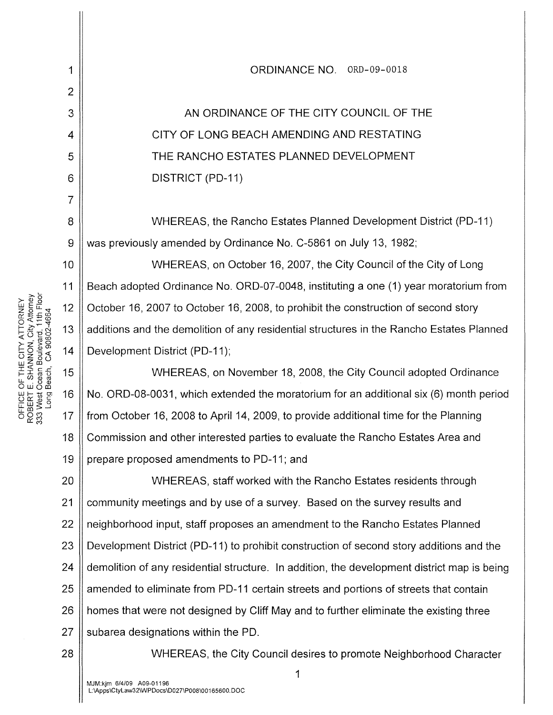AN ORDINANCE OF THE CITY COUNCIL OF THE CITY OF LONG BEACH AMENDING AND RESTATING THE RANCHO ESTATES PLANNED DEVELOPMENT DISTRICT (PD-11)

ORDINANCE NO. ORD-09-0018

WHEREAS, the Rancho Estates Planned Development District (PD-11) was previously amended by Ordinance No. C-5861 on July 13, 1982;

WHEREAS, on October 16, 2007, the City Council of the City of Long Beach adopted Ordinance No. ORD-07-0048, instituting a one (1) year moratorium from October 16, 2007 to October 16, 2008, to prohibit the construction of second story additions and the demolition of any residential structures in the Rancho Estates Planned Development District (PD-11);

18 19 WHEREAS, on November 18, 2008, the City Council adopted Ordinance No. ORD-08-0031, which extended the moratorium for an additional six (6) month period from October 16, 2008 to April 14, 2009, to provide additional time for the Planning Commission and other interested parties to evaluate the Rancho Estates Area and prepare proposed amendments to PD-11; and

20 21 22 23 24 25 26 27 WHEREAS, staff worked with the Rancho Estates residents through community meetings and by use of a survey. Based on the survey results and neighborhood input, staff proposes an amendment to the Rancho Estates Planned Development District (PD-11) to prohibit construction of second story additions and the demolition of any residential structure. In addition, the development district map is being amended to eliminate from PD-11 certain streets and portions of streets that contain homes that were not designed by Cliff May and to further eliminate the existing three subarea designations within the PD.

WHEREAS, the City Council desires to promote Neighborhood Character

NEY<br>Attorney<br>Attories<br>15 discription<br>46 discription<br>46  $1.741$ <br>  $1.213$ <br>  $1.414$ <br>  $1.414$ <br>  $1.414$ <br>  $1.414$ <br>  $1.414$ <br>  $1.414$ <br>  $1.414$ <br>  $1.414$ <br>  $1.414$ <br>  $1.414$ <br>  $1.414$  $F$ THE<br>
SHAM<br>
SHAM<br>
SHAM<br>
SHAM<br>
SHAM<br>
15 OUL<br>
DOBERT E<br>
ROBERT ES<br>
ROBER<br>
OO:: 17<br>
OO:: 17

1

2

3

4

5

6

7

8

9

10

11

28

1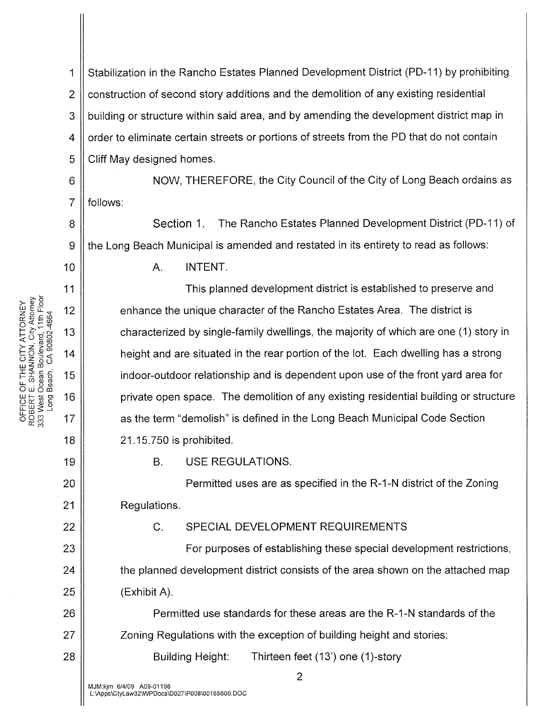1 | Stabilization in the Rancho Estates Planned Development District (PD-11) by prohibiting 2 | construction of second story additions and the demolition of any existing residential 3 building or structure within said area, and by amending the development district map in 4 | order to eliminate certain streets or portions of streets from the PD that do not contain  $5 \parallel$  Cliff May designed homes.

6 || NOW, THEREFORE, the City Council of the City of Long Beach ordains as 7 || follows:

8 9 Section 1. The Rancho Estates Planned Development District (PD-11) of the Long Beach Municipal is amended and restated in its entirety to read as follows:

A. **INTENT.** 

This planned development district is established to preserve and enhance the unique character of the Rancho Estates Area. The district is characterized by single-family dwellings, the majority of which are one (1) story in height and are situated in the rear portion of the lot. Each dwelling has a strong indoor-outdoor relationship and is dependent upon use of the front yard area for private open space. The demolition of any existing residential building or structure as the term "demolish" is defined in the Long Beach Municipal Code Section 21.15.750 is prohibited.

B. USE REGULATIONS.

Permitted uses are as specified in the R-1-N district of the Zoning Regulations.

C. SPECIAL DEVELOPMENT REQUIREMENTS

For purposes of establishing these special development restrictions, the planned development district consists of the area shown on the attached map (Exhibit A).

Permitted use standards for these areas are the R-1-N standards of the Zoning Regulations with the exception of building height and stories:

Building Height: Thirteen feet (13') one (1)-story

ATTORNEY<br>, City Attorney<br>, ard, 11th Floor<br>ard, 11th Floor<br>9802-4664

10

11

12

13

14

19

20

21

22

23

24

25

26

27

28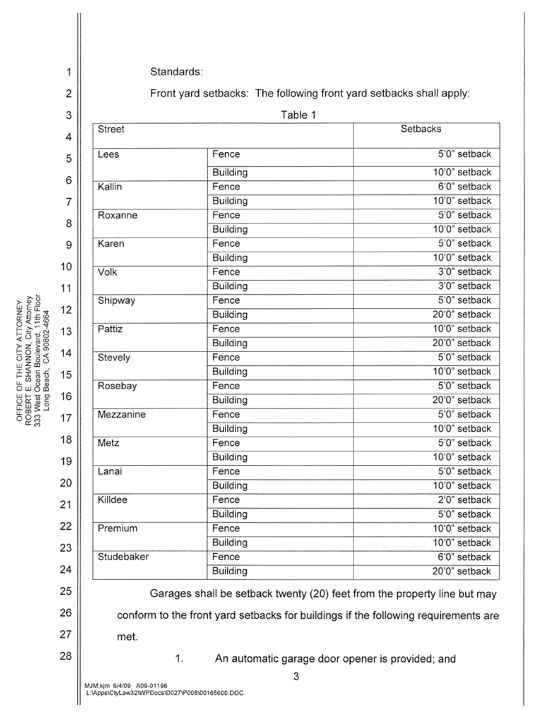2 3 4 5 6 7 8 9 10 11 >-~ >-<L>8 we- zolL"<t 12 o::::t::..C<O 0<(~<0 1- >- ~ "1 1-:!:: -N 13 <(u-eo rotJ;J >-z>o 1-0.!l!(J) 14 ()z:::l<( z ou w co I<(c.C 1-Iroo 15 lL(/)(!)(1) 18 19 20 21 22 23 24 25 26 27 28 Front yard setbacks: The following front yard setbacks shall apply: Table 1 Street Setbacks Street Setbacks Street Setbacks Street Setbacks Street Setbacks Street Setbacks Street Setbacks Lees Fence 5'0" setback Building 10'0" setback Kallin **Fence** Fence 6'0" setback Building 10'0" setback Roxanne Fence 5'0" setback Building 10'0" setback Karen **Fence** Fence 5'0" setback Building 10'0" setback Volk Fence 3'0" setback Building 3'0" setback Shipway Fence 5'0" setback Building 20'0" setback Pattiz Fence 10'0" setback Building 20'0" setback Stevely Fence 5'0" setback Building 10'0" setback Rosebay Fence 5'0" setback Building 20'0" setback Mezzanine Fence 5'0" setback Building 10'0" setback Metz 5'0" setback Building 10'0" setback Lanai 5'0" setback Building 10'0" setback Killdee 2'0" setback Building 5'0" setback Premium Fence Fence 10'0" setback Building 10'0" setback Studebaker Fence **Fence** 6'0" setback Building **20'0** Building **20'0** Garages shall be setback twenty (20) feet from the property line but may conform to the front yard setbacks for buildings if the following requirements are met. 1. An automatic garage door opener is provided; and

O D D D D D D D D D D D D D D<br>ROBERT E J O<br>ROBER J 17<br>O S 33 17

1

Standards:

MJM:kjm 6/4/09 A09-01196 L:\Apps\Ctylaw32\WPDocs\D027\P008\00165600. DOC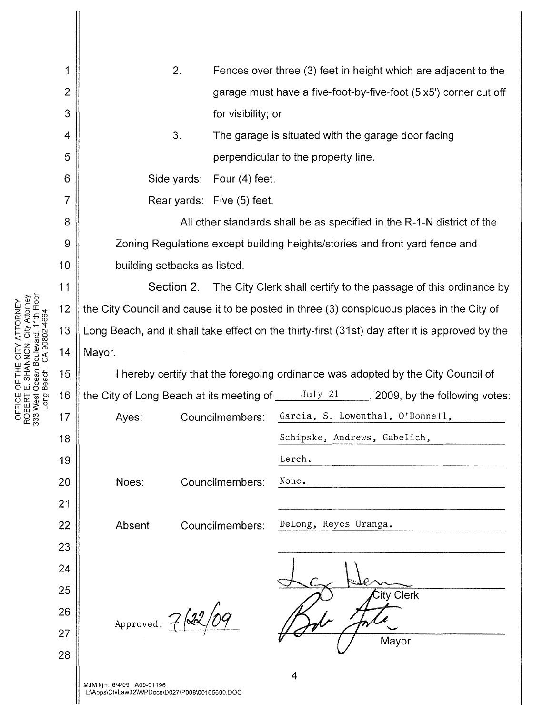| 1              | 2.                                                                                                               | Fences over three (3) feet in height which are adjacent to the         |                                  |  |
|----------------|------------------------------------------------------------------------------------------------------------------|------------------------------------------------------------------------|----------------------------------|--|
| $\overline{2}$ |                                                                                                                  | garage must have a five-foot-by-five-foot (5'x5') corner cut off       |                                  |  |
| 3              |                                                                                                                  | for visibility; or                                                     |                                  |  |
| 4              | 3.                                                                                                               | The garage is situated with the garage door facing                     |                                  |  |
| 5              |                                                                                                                  | perpendicular to the property line.                                    |                                  |  |
| 6              |                                                                                                                  | Side yards: Four (4) feet.                                             |                                  |  |
| 7              |                                                                                                                  | Rear yards: Five (5) feet.                                             |                                  |  |
| 8              |                                                                                                                  | All other standards shall be as specified in the R-1-N district of the |                                  |  |
| 9              | Zoning Regulations except building heights/stories and front yard fence and                                      |                                                                        |                                  |  |
| 10             | building setbacks as listed.                                                                                     |                                                                        |                                  |  |
| 11             | Section 2. The City Clerk shall certify to the passage of this ordinance by                                      |                                                                        |                                  |  |
| 12             | the City Council and cause it to be posted in three (3) conspicuous places in the City of                        |                                                                        |                                  |  |
| 13             | Long Beach, and it shall take effect on the thirty-first (31st) day after it is approved by the                  |                                                                        |                                  |  |
| 14             | Mayor.                                                                                                           |                                                                        |                                  |  |
| 15             | I hereby certify that the foregoing ordinance was adopted by the City Council of                                 |                                                                        |                                  |  |
| 16             | the City of Long Beach at its meeting of $\underline{\hspace{1cm}}$ July 21 _____, 2009, by the following votes: |                                                                        |                                  |  |
| 17             | Ayes:                                                                                                            | Councilmembers:                                                        | Garcia, S. Lowenthal, O'Donnell, |  |
| 18             |                                                                                                                  |                                                                        | Schipske, Andrews, Gabelich,     |  |
| 19             |                                                                                                                  |                                                                        | Lerch.                           |  |
| 20             | Noes:                                                                                                            | Councilmembers:                                                        | None.                            |  |
| 21             |                                                                                                                  |                                                                        |                                  |  |
| 22             | Absent:                                                                                                          | Councilmembers:                                                        | DeLong, Reyes Uranga.            |  |
| 23             |                                                                                                                  |                                                                        |                                  |  |
| 24             |                                                                                                                  |                                                                        |                                  |  |
| 25             |                                                                                                                  |                                                                        | City Clerk                       |  |
| 26             | Approved: $\overline{1}$                                                                                         |                                                                        |                                  |  |
| 27             |                                                                                                                  |                                                                        | Mayor                            |  |
| 28             |                                                                                                                  |                                                                        |                                  |  |
|                |                                                                                                                  |                                                                        |                                  |  |

<sup>11</sup>>.'- >-GJ8 we-zou..~ 12 o::t\_c<O o<(;::u:> FIT A LI SIN MOSCON CHINAN CHINAN CHINAN CHINAN CHINAN CHINAN CHINAN CHINAN CHINAN CHINAN CHINAN CHINAN CHINAN CHINAN CHINAN CHINAN CHINAN CHINAN CHINAN CHINAN CHINAN CHINAN CHINAN CHINAN CHINAN CHINAN CHINAN CHINAN CHINAN  $\parallel$